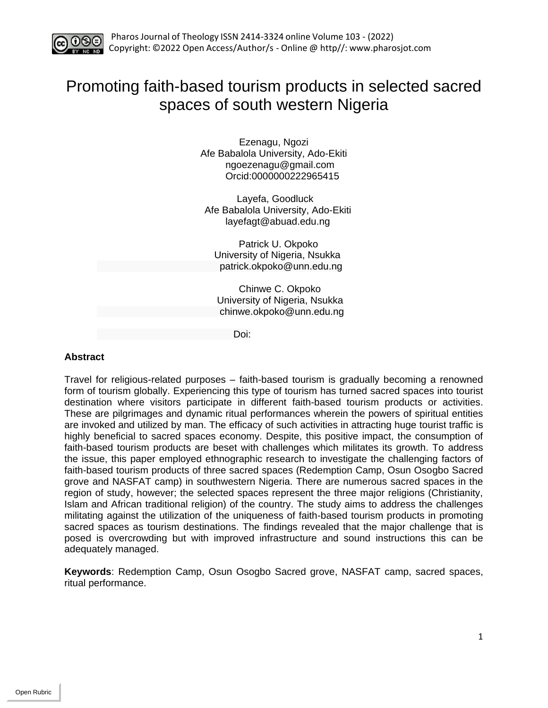

# Promoting faith-based tourism products in selected sacred spaces of south western Nigeria

Ezenagu, Ngozi Afe Babalola University, Ado-Ekiti [ngoezenagu@gmail.com](mailto:ngoezenagu@gmail.com) Orcid:0000000222965415

Layefa, Goodluck Afe Babalola University, Ado-Ekiti [layefagt@abuad.edu.ng](mailto:layefagt@abuad.edu.ng)

 Patrick U. Okpoko University of Nigeria, Nsukka [patrick.okpoko@unn.edu.ng](mailto:patrick.okpoko@unn.edu.ng)

 Chinwe C. Okpoko University of Nigeria, Nsukka [chinwe.okpoko@unn.edu.ng](mailto:chinwe.okpoko@unn.edu.ng)

Doi:

# **Abstract**

Travel for religious-related purposes – faith-based tourism is gradually becoming a renowned form of tourism globally. Experiencing this type of tourism has turned sacred spaces into tourist destination where visitors participate in different faith-based tourism products or activities. These are pilgrimages and dynamic ritual performances wherein the powers of spiritual entities are invoked and utilized by man. The efficacy of such activities in attracting huge tourist traffic is highly beneficial to sacred spaces economy. Despite, this positive impact, the consumption of faith-based tourism products are beset with challenges which militates its growth. To address the issue, this paper employed ethnographic research to investigate the challenging factors of faith-based tourism products of three sacred spaces (Redemption Camp, Osun Osogbo Sacred grove and NASFAT camp) in southwestern Nigeria. There are numerous sacred spaces in the region of study, however; the selected spaces represent the three major religions (Christianity, Islam and African traditional religion) of the country. The study aims to address the challenges militating against the utilization of the uniqueness of faith-based tourism products in promoting sacred spaces as tourism destinations. The findings revealed that the major challenge that is posed is overcrowding but with improved infrastructure and sound instructions this can be adequately managed.

**Keywords**: Redemption Camp, Osun Osogbo Sacred grove, NASFAT camp, sacred spaces, ritual performance.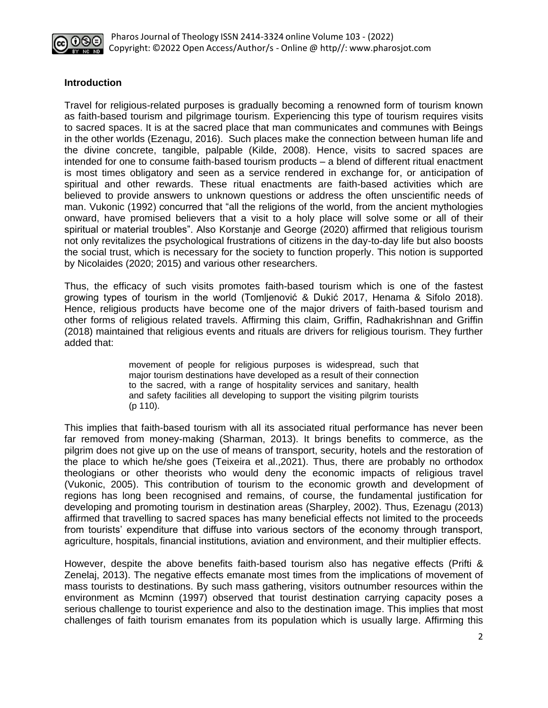

#### **Introduction**

Travel for religious-related purposes is gradually becoming a renowned form of tourism known as faith-based tourism and pilgrimage tourism. Experiencing this type of tourism requires visits to sacred spaces. It is at the sacred place that man communicates and communes with Beings in the other worlds (Ezenagu, 2016). Such places make the connection between human life and the divine concrete, tangible, palpable (Kilde, 2008). Hence, visits to sacred spaces are intended for one to consume faith-based tourism products – a blend of different ritual enactment is most times obligatory and seen as a service rendered in exchange for, or anticipation of spiritual and other rewards. These ritual enactments are faith-based activities which are believed to provide answers to unknown questions or address the often unscientific needs of man. Vukonic (1992) concurred that "all the religions of the world, from the ancient mythologies onward, have promised believers that a visit to a holy place will solve some or all of their spiritual or material troubles". Also Korstanje and George (2020) affirmed that religious tourism not only revitalizes the psychological frustrations of citizens in the day-to-day life but also boosts the social trust, which is necessary for the society to function properly. This notion is supported by Nicolaides (2020; 2015) and various other researchers.

Thus, the efficacy of such visits promotes faith-based tourism which is one of the fastest growing types of tourism in the world (Tomljenović & Dukić 2017, Henama & Sifolo 2018). Hence, religious products have become one of the major drivers of faith-based tourism and other forms of religious related travels. Affirming this claim, Griffin, Radhakrishnan and Griffin (2018) maintained that religious events and rituals are drivers for religious tourism. They further added that:

> movement of people for religious purposes is widespread, such that major tourism destinations have developed as a result of their connection to the sacred, with a range of hospitality services and sanitary, health and safety facilities all developing to support the visiting pilgrim tourists (p 110).

This implies that faith-based tourism with all its associated ritual performance has never been far removed from money-making (Sharman, 2013). It brings benefits to commerce, as the pilgrim does not give up on the use of means of transport, security, hotels and the restoration of the place to which he/she goes (Teixeira et al.,2021). Thus, there are probably no orthodox theologians or other theorists who would deny the economic impacts of religious travel (Vukonic, 2005). This contribution of tourism to the economic growth and development of regions has long been recognised and remains, of course, the fundamental justification for developing and promoting tourism in destination areas (Sharpley, 2002). Thus, Ezenagu (2013) affirmed that travelling to sacred spaces has many beneficial effects not limited to the proceeds from tourists' expenditure that diffuse into various sectors of the economy through transport, agriculture, hospitals, financial institutions, aviation and environment, and their multiplier effects.

However, despite the above benefits faith-based tourism also has negative effects (Prifti & Zenelaj, 2013). The negative effects emanate most times from the implications of movement of mass tourists to destinations. By such mass gathering, visitors outnumber resources within the environment as Mcminn (1997) observed that tourist destination carrying capacity poses a serious challenge to tourist experience and also to the destination image. This implies that most challenges of faith tourism emanates from its population which is usually large. Affirming this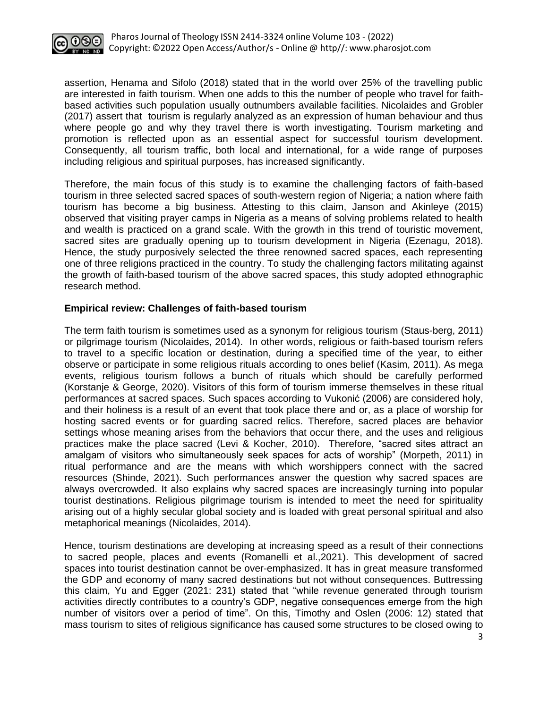

assertion, Henama and Sifolo (2018) stated that in the world over 25% of the travelling public are interested in faith tourism. When one adds to this the number of people who travel for faithbased activities such population usually outnumbers available facilities. Nicolaides and Grobler (2017) assert that tourism is regularly analyzed as an expression of human behaviour and thus where people go and why they travel there is worth investigating. Tourism marketing and promotion is reflected upon as an essential aspect for successful tourism development. Consequently, all tourism traffic, both local and international, for a wide range of purposes including religious and spiritual purposes, has increased significantly.

Therefore, the main focus of this study is to examine the challenging factors of faith-based tourism in three selected sacred spaces of south-western region of Nigeria; a nation where faith tourism has become a big business. Attesting to this claim, Janson and Akinleye (2015) observed that visiting prayer camps in Nigeria as a means of solving problems related to health and wealth is practiced on a grand scale. With the growth in this trend of touristic movement, sacred sites are gradually opening up to tourism development in Nigeria (Ezenagu, 2018). Hence, the study purposively selected the three renowned sacred spaces, each representing one of three religions practiced in the country. To study the challenging factors militating against the growth of faith-based tourism of the above sacred spaces, this study adopted ethnographic research method.

## **Empirical review: Challenges of faith-based tourism**

The term faith tourism is sometimes used as a synonym for religious tourism (Staus-berg, 2011) or pilgrimage tourism (Nicolaides, 2014). In other words, religious or faith-based tourism refers to travel to a specific location or destination, during a specified time of the year, to either observe or participate in some religious rituals according to ones belief (Kasim, 2011). As mega events, religious tourism follows a bunch of rituals which should be carefully performed (Korstanje & George, 2020). Visitors of this form of tourism immerse themselves in these ritual performances at sacred spaces. Such spaces according to Vukonić (2006) are considered holy, and their holiness is a result of an event that took place there and or, as a place of worship for hosting sacred events or for guarding sacred relics. Therefore, sacred places are behavior settings whose meaning arises from the behaviors that occur there, and the uses and religious practices make the place sacred (Levi & Kocher, 2010). Therefore, "sacred sites attract an amalgam of visitors who simultaneously seek spaces for acts of worship" (Morpeth, 2011) in ritual performance and are the means with which worshippers connect with the sacred resources (Shinde, 2021). Such performances answer the question why sacred spaces are always overcrowded. It also explains why sacred spaces are increasingly turning into popular tourist destinations. Religious pilgrimage tourism is intended to meet the need for spirituality arising out of a highly secular global society and is loaded with great personal spiritual and also metaphorical meanings (Nicolaides, 2014).

Hence, tourism destinations are developing at increasing speed as a result of their connections to sacred people, places and events (Romanelli et al.,2021). This development of sacred spaces into tourist destination cannot be over-emphasized. It has in great measure transformed the GDP and economy of many sacred destinations but not without consequences. Buttressing this claim, Yu and Egger (2021: 231) stated that "while revenue generated through tourism activities directly contributes to a country's GDP, negative consequences emerge from the high number of visitors over a period of time". On this, Timothy and Oslen (2006: 12) stated that mass tourism to sites of religious significance has caused some structures to be closed owing to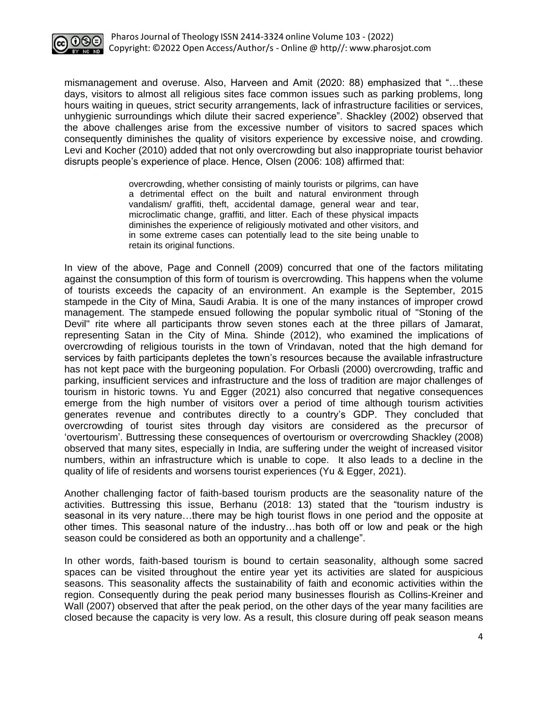

mismanagement and overuse. Also, Harveen and Amit (2020: 88) emphasized that "…these days, visitors to almost all religious sites face common issues such as parking problems, long hours waiting in queues, strict security arrangements, lack of infrastructure facilities or services, unhygienic surroundings which dilute their sacred experience". Shackley (2002) observed that the above challenges arise from the excessive number of visitors to sacred spaces which consequently diminishes the quality of visitors experience by excessive noise, and crowding. Levi and Kocher (2010) added that not only overcrowding but also inappropriate tourist behavior disrupts people's experience of place. Hence, Olsen (2006: 108) affirmed that:

> overcrowding, whether consisting of mainly tourists or pilgrims, can have a detrimental effect on the built and natural environment through vandalism/ graffiti, theft, accidental damage, general wear and tear, microclimatic change, graffiti, and litter. Each of these physical impacts diminishes the experience of religiously motivated and other visitors, and in some extreme cases can potentially lead to the site being unable to retain its original functions.

In view of the above, Page and Connell (2009) concurred that one of the factors militating against the consumption of this form of tourism is overcrowding. This happens when the volume of tourists exceeds the capacity of an environment. An example is the September, 2015 stampede in the City of Mina, Saudi Arabia. It is one of the many instances of improper crowd management. The stampede ensued following the popular symbolic ritual of "Stoning of the Devil" rite where all participants throw seven stones each at the three pillars of Jamarat, representing Satan in the City of Mina. Shinde (2012), who examined the implications of overcrowding of religious tourists in the town of Vrindavan, noted that the high demand for services by faith participants depletes the town's resources because the available infrastructure has not kept pace with the burgeoning population. For Orbasli (2000) overcrowding, traffic and parking, insufficient services and infrastructure and the loss of tradition are major challenges of tourism in historic towns. Yu and Egger (2021) also concurred that negative consequences emerge from the high number of visitors over a period of time although tourism activities generates revenue and contributes directly to a country's GDP. They concluded that overcrowding of tourist sites through day visitors are considered as the precursor of 'overtourism'. Buttressing these consequences of overtourism or overcrowding Shackley (2008) observed that many sites, especially in India, are suffering under the weight of increased visitor numbers, within an infrastructure which is unable to cope. It also leads to a decline in the quality of life of residents and worsens tourist experiences (Yu & Egger, 2021).

Another challenging factor of faith-based tourism products are the seasonality nature of the activities. Buttressing this issue, Berhanu (2018: 13) stated that the "tourism industry is seasonal in its very nature…there may be high tourist flows in one period and the opposite at other times. This seasonal nature of the industry…has both off or low and peak or the high season could be considered as both an opportunity and a challenge".

In other words, faith-based tourism is bound to certain seasonality, although some sacred spaces can be visited throughout the entire year yet its activities are slated for auspicious seasons. This seasonality affects the sustainability of faith and economic activities within the region. Consequently during the peak period many businesses flourish as Collins-Kreiner and Wall (2007) observed that after the peak period, on the other days of the year many facilities are closed because the capacity is very low. As a result, this closure during off peak season means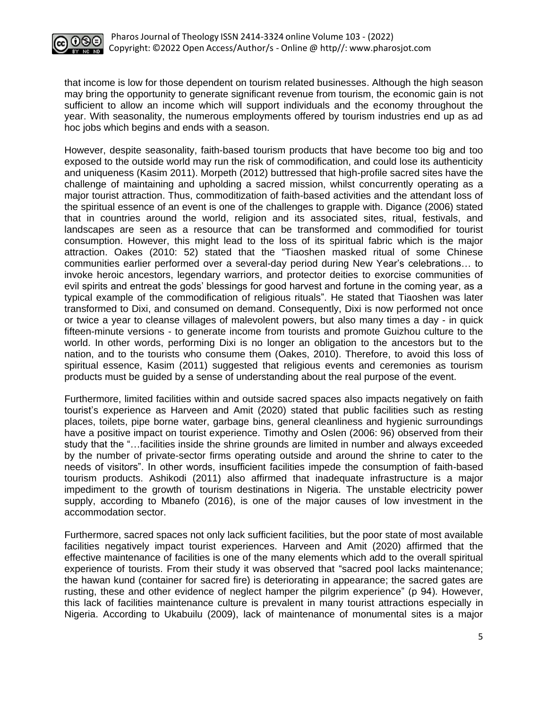

that income is low for those dependent on tourism related businesses. Although the high season may bring the opportunity to generate significant revenue from tourism, the economic gain is not sufficient to allow an income which will support individuals and the economy throughout the year. With seasonality, the numerous employments offered by tourism industries end up as ad hoc jobs which begins and ends with a season.

However, despite seasonality, faith-based tourism products that have become too big and too exposed to the outside world may run the risk of commodification, and could lose its authenticity and uniqueness (Kasim 2011). Morpeth (2012) buttressed that high-profile sacred sites have the challenge of maintaining and upholding a sacred mission, whilst concurrently operating as a major tourist attraction. Thus, commoditization of faith-based activities and the attendant loss of the spiritual essence of an event is one of the challenges to grapple with. Digance (2006) stated that in countries around the world, religion and its associated sites, ritual, festivals, and landscapes are seen as a resource that can be transformed and commodified for tourist consumption. However, this might lead to the loss of its spiritual fabric which is the major attraction. Oakes (2010: 52) stated that the "Tiaoshen masked ritual of some Chinese communities earlier performed over a several-day period during New Year's celebrations… to invoke heroic ancestors, legendary warriors, and protector deities to exorcise communities of evil spirits and entreat the gods' blessings for good harvest and fortune in the coming year, as a typical example of the commodification of religious rituals". He stated that Tiaoshen was later transformed to Dixi, and consumed on demand. Consequently, Dixi is now performed not once or twice a year to cleanse villages of malevolent powers, but also many times a day - in quick fifteen-minute versions - to generate income from tourists and promote Guizhou culture to the world. In other words, performing Dixi is no longer an obligation to the ancestors but to the nation, and to the tourists who consume them (Oakes, 2010). Therefore, to avoid this loss of spiritual essence, Kasim (2011) suggested that religious events and ceremonies as tourism products must be guided by a sense of understanding about the real purpose of the event.

Furthermore, limited facilities within and outside sacred spaces also impacts negatively on faith tourist's experience as Harveen and Amit (2020) stated that public facilities such as resting places, toilets, pipe borne water, garbage bins, general cleanliness and hygienic surroundings have a positive impact on tourist experience. Timothy and Oslen (2006: 96) observed from their study that the "…facilities inside the shrine grounds are limited in number and always exceeded by the number of private-sector firms operating outside and around the shrine to cater to the needs of visitors". In other words, insufficient facilities impede the consumption of faith-based tourism products. Ashikodi (2011) also affirmed that inadequate infrastructure is a major impediment to the growth of tourism destinations in Nigeria. The unstable electricity power supply, according to Mbanefo (2016), is one of the major causes of low investment in the accommodation sector.

Furthermore, sacred spaces not only lack sufficient facilities, but the poor state of most available facilities negatively impact tourist experiences. Harveen and Amit (2020) affirmed that the effective maintenance of facilities is one of the many elements which add to the overall spiritual experience of tourists. From their study it was observed that "sacred pool lacks maintenance; the hawan kund (container for sacred fire) is deteriorating in appearance; the sacred gates are rusting, these and other evidence of neglect hamper the pilgrim experience" (p 94). However, this lack of facilities maintenance culture is prevalent in many tourist attractions especially in Nigeria. According to Ukabuilu (2009), lack of maintenance of monumental sites is a major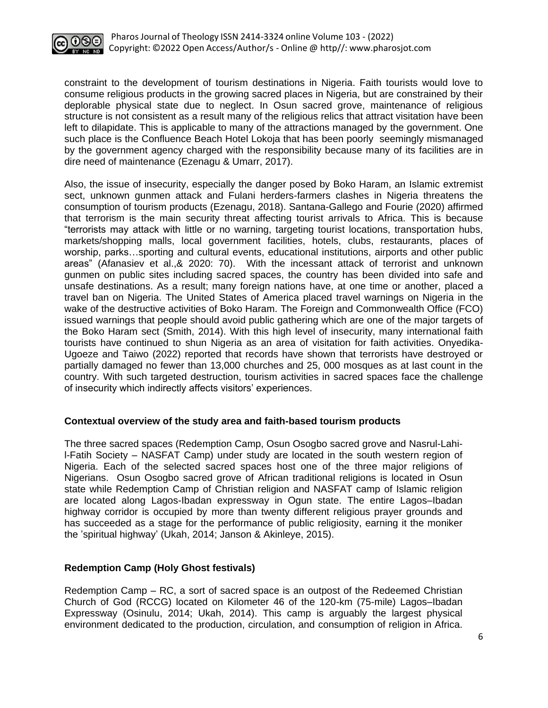

constraint to the development of tourism destinations in Nigeria. Faith tourists would love to consume religious products in the growing sacred places in Nigeria, but are constrained by their deplorable physical state due to neglect. In Osun sacred grove, maintenance of religious structure is not consistent as a result many of the religious relics that attract visitation have been left to dilapidate. This is applicable to many of the attractions managed by the government. One such place is the Confluence Beach Hotel Lokoja that has been poorly seemingly mismanaged by the government agency charged with the responsibility because many of its facilities are in dire need of maintenance (Ezenagu & Umarr, 2017).

Also, the issue of insecurity, especially the danger posed by Boko Haram, an Islamic extremist sect, unknown gunmen attack and Fulani herders-farmers clashes in Nigeria threatens the consumption of tourism products (Ezenagu, 2018). Santana-Gallego and Fourie (2020) affirmed that terrorism is the main security threat affecting tourist arrivals to Africa. This is because "terrorists may attack with little or no warning, targeting tourist locations, transportation hubs, markets/shopping malls, local government facilities, hotels, clubs, restaurants, places of worship, parks…sporting and cultural events, educational institutions, airports and other public areas" (Afanasiev et al.,& 2020: 70). With the incessant attack of terrorist and unknown gunmen on public sites including sacred spaces, the country has been divided into safe and unsafe destinations. As a result; many foreign nations have, at one time or another, placed a travel ban on Nigeria. The United States of America placed travel warnings on Nigeria in the wake of the destructive activities of Boko Haram. The Foreign and Commonwealth Office (FCO) issued warnings that people should avoid public gathering which are one of the major targets of the Boko Haram sect (Smith, 2014). With this high level of insecurity, many international faith tourists have continued to shun Nigeria as an area of visitation for faith activities. Onyedika-Ugoeze and Taiwo (2022) reported that records have shown that terrorists have destroyed or partially damaged no fewer than 13,000 churches and 25, 000 mosques as at last count in the country. With such targeted destruction, tourism activities in sacred spaces face the challenge of insecurity which indirectly affects visitors' experiences.

# **Contextual overview of the study area and faith-based tourism products**

The three sacred spaces (Redemption Camp, Osun Osogbo sacred grove and Nasrul-Lahil-Fatih Society – NASFAT Camp) under study are located in the south western region of Nigeria. Each of the selected sacred spaces host one of the three major religions of Nigerians. Osun Osogbo sacred grove of African traditional religions is located in Osun state while Redemption Camp of Christian religion and NASFAT camp of Islamic religion are located along Lagos-Ibadan expressway in Ogun state. The entire Lagos–Ibadan highway corridor is occupied by more than twenty different religious prayer grounds and has succeeded as a stage for the performance of public religiosity, earning it the moniker the 'spiritual highway' (Ukah, 2014; Janson & Akinleye, 2015).

# **Redemption Camp (Holy Ghost festivals)**

Redemption Camp – RC, a sort of sacred space is an outpost of the Redeemed Christian Church of God (RCCG) located on Kilometer 46 of the 120-km (75-mile) Lagos–Ibadan Expressway (Osinulu, 2014; Ukah, 2014). This camp is arguably the largest physical environment dedicated to the production, circulation, and consumption of religion in Africa.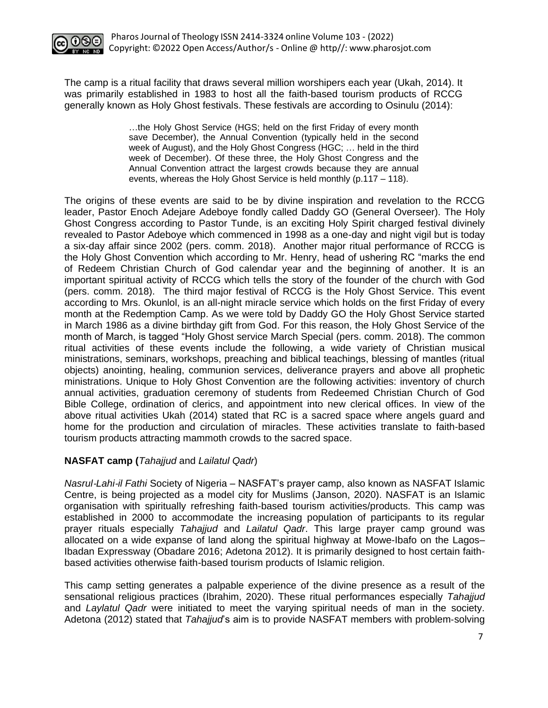

The camp is a ritual facility that draws several million worshipers each year (Ukah, 2014). It was primarily established in 1983 to host all the faith-based tourism products of RCCG generally known as Holy Ghost festivals. These festivals are according to Osinulu (2014):

> …the Holy Ghost Service (HGS; held on the first Friday of every month save December), the Annual Convention (typically held in the second week of August), and the Holy Ghost Congress (HGC; … held in the third week of December). Of these three, the Holy Ghost Congress and the Annual Convention attract the largest crowds because they are annual events, whereas the Holy Ghost Service is held monthly (p.117 – 118).

The origins of these events are said to be by divine inspiration and revelation to the RCCG leader, Pastor Enoch Adejare Adeboye fondly called Daddy GO (General Overseer). The Holy Ghost Congress according to Pastor Tunde, is an exciting Holy Spirit charged festival divinely revealed to Pastor Adeboye which commenced in 1998 as a one-day and night vigil but is today a six-day affair since 2002 (pers. comm. 2018). Another major ritual performance of RCCG is the Holy Ghost Convention which according to Mr. Henry, head of ushering RC "marks the end of Redeem Christian Church of God calendar year and the beginning of another. It is an important spiritual activity of RCCG which tells the story of the founder of the church with God (pers. comm. 2018). The third major festival of RCCG is the Holy Ghost Service. This event according to Mrs. Okunlol, is an all-night miracle service which holds on the first Friday of every month at the Redemption Camp. As we were told by Daddy GO the Holy Ghost Service started in March 1986 as a divine birthday gift from God. For this reason, the Holy Ghost Service of the month of March, is tagged "Holy Ghost service March Special (pers. comm. 2018). The common ritual activities of these events include the following, a wide variety of Christian musical ministrations, seminars, workshops, preaching and biblical teachings, blessing of mantles (ritual objects) anointing, healing, communion services, deliverance prayers and above all prophetic ministrations. Unique to Holy Ghost Convention are the following activities: inventory of church annual activities, graduation ceremony of students from Redeemed Christian Church of God Bible College, ordination of clerics, and appointment into new clerical offices. In view of the above ritual activities Ukah (2014) stated that RC is a sacred space where angels guard and home for the production and circulation of miracles. These activities translate to faith-based tourism products attracting mammoth crowds to the sacred space.

# **NASFAT camp (***Tahajjud* and *Lailatul Qadr*)

*Nasrul*‐*Lahi*‐*il Fathi* Society of Nigeria – NASFAT's prayer camp, also known as NASFAT Islamic Centre, is being projected as a model city for Muslims (Janson, 2020). NASFAT is an Islamic organisation with spiritually refreshing faith-based tourism activities/products. This camp was established in 2000 to accommodate the increasing population of participants to its regular prayer rituals especially *Tahajjud* and *Lailatul Qadr*. This large prayer camp ground was allocated on a wide expanse of land along the spiritual highway at Mowe-Ibafo on the Lagos– Ibadan Expressway (Obadare 2016; Adetona 2012). It is primarily designed to host certain faithbased activities otherwise faith-based tourism products of Islamic religion.

This camp setting generates a palpable experience of the divine presence as a result of the sensational religious practices (Ibrahim, 2020). These ritual performances especially *Tahajjud* and *Laylatul Qadr* were initiated to meet the varying spiritual needs of man in the society. Adetona (2012) stated that *Tahajjud*'s aim is to provide NASFAT members with problem‐solving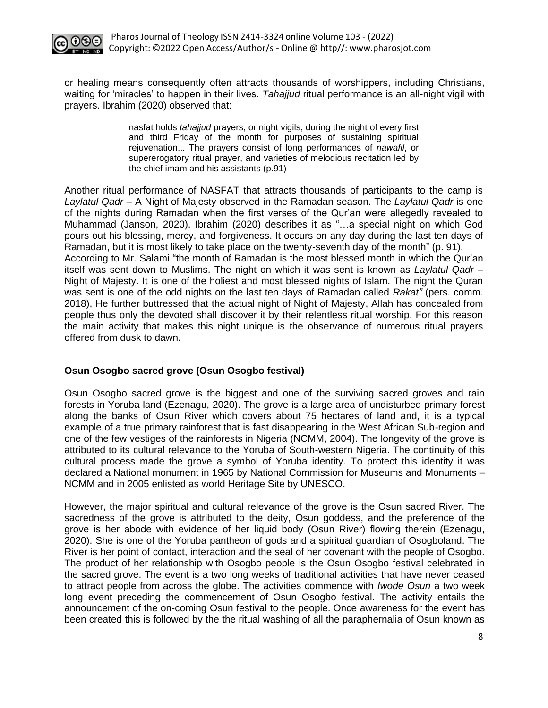

or healing means consequently often attracts thousands of worshippers, including Christians, waiting for 'miracles' to happen in their lives. *Tahajjud* ritual performance is an all-night vigil with prayers. Ibrahim (2020) observed that:

> nasfat holds *tahajjud* prayers, or night vigils, during the night of every first and third Friday of the month for purposes of sustaining spiritual rejuvenation... The prayers consist of long performances of *nawafil*, or supererogatory ritual prayer, and varieties of melodious recitation led by the chief imam and his assistants (p.91)

Another ritual performance of NASFAT that attracts thousands of participants to the camp is *Laylatul Qadr* – A Night of Majesty observed in the Ramadan season. The *Laylatul Qadr* is one of the nights during Ramadan when the first verses of the Qur'an were allegedly revealed to Muhammad (Janson, 2020). Ibrahim (2020) describes it as "…a special night on which God pours out his blessing, mercy, and forgiveness. It occurs on any day during the last ten days of Ramadan, but it is most likely to take place on the twenty-seventh day of the month" (p. 91). According to Mr. Salami "the month of Ramadan is the most blessed month in which the Qur'an itself was sent down to Muslims. The night on which it was sent is known as *Laylatul Qadr –* Night of Majesty. It is one of the holiest and most blessed nights of Islam. The night the Quran was sent is one of the odd nights on the last ten days of Ramadan called *Rakat"* (pers. comm. 2018), He further buttressed that the actual night of Night of Majesty, Allah has concealed from people thus only the devoted shall discover it by their relentless ritual worship. For this reason the main activity that makes this night unique is the observance of numerous ritual prayers offered from dusk to dawn.

# **Osun Osogbo sacred grove (Osun Osogbo festival)**

Osun Osogbo sacred grove is the biggest and one of the surviving sacred groves and rain forests in Yoruba land (Ezenagu, 2020). The grove is a large area of undisturbed primary forest along the banks of Osun River which covers about 75 hectares of land and, it is a typical example of a true primary rainforest that is fast disappearing in the West African Sub-region and one of the few vestiges of the rainforests in Nigeria (NCMM, 2004). The longevity of the grove is attributed to its cultural relevance to the Yoruba of South-western Nigeria. The continuity of this cultural process made the grove a symbol of Yoruba identity. To protect this identity it was declared a National monument in 1965 by National Commission for Museums and Monuments – NCMM and in 2005 enlisted as world Heritage Site by UNESCO.

However, the major spiritual and cultural relevance of the grove is the Osun sacred River. The sacredness of the grove is attributed to the deity, Osun goddess, and the preference of the grove is her abode with evidence of her liquid body (Osun River) flowing therein (Ezenagu, 2020). She is one of the Yoruba pantheon of gods and a spiritual guardian of Osogboland. The River is her point of contact, interaction and the seal of her covenant with the people of Osogbo. The product of her relationship with Osogbo people is the Osun Osogbo festival celebrated in the sacred grove. The event is a two long weeks of traditional activities that have never ceased to attract people from across the globe. The activities commence with *Iwode Osun* a two week long event preceding the commencement of Osun Osogbo festival. The activity entails the announcement of the on-coming Osun festival to the people. Once awareness for the event has been created this is followed by the the ritual washing of all the paraphernalia of Osun known as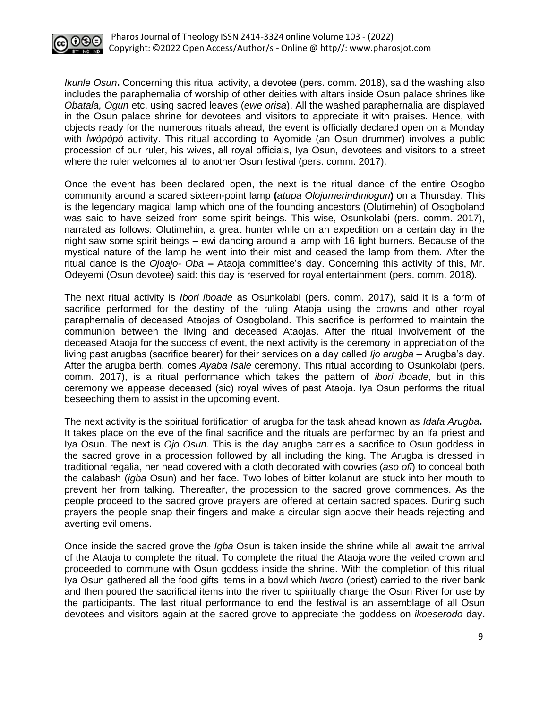

*Ikunle Osun***.** Concerning this ritual activity, a devotee (pers. comm. 2018), said the washing also includes the paraphernalia of worship of other deities with altars inside Osun palace shrines like *Obatala, Ogun* etc. using sacred leaves (*ewe orisa*). All the washed paraphernalia are displayed in the Osun palace shrine for devotees and visitors to appreciate it with praises. Hence, with objects ready for the numerous rituals ahead, the event is officially declared open on a Monday with *Ìwópópó* activity. This ritual according to Ayomide (an Osun drummer) involves a public procession of our ruler, his wives, all royal officials, Iya Osun, devotees and visitors to a street where the ruler welcomes all to another Osun festival (pers. comm. 2017).

Once the event has been declared open, the next is the ritual dance of the entire Osogbo community around a scared sixteen-point lamp **(***atupa Olojumerindınlogun***)** on a Thursday. This is the legendary magical lamp which one of the founding ancestors (Olutimehin) of Osogboland was said to have seized from some spirit beings. This wise, Osunkolabi (pers. comm. 2017), narrated as follows: Olutimehin, a great hunter while on an expedition on a certain day in the night saw some spirit beings – ewi dancing around a lamp with 16 light burners. Because of the mystical nature of the lamp he went into their mist and ceased the lamp from them*.* After the ritual dance is the *Ojoajo- Oba* **–** Ataoja committee's day. Concerning this activity of this, Mr. Odeyemi (Osun devotee) said: this day is reserved for royal entertainment (pers. comm. 2018)*.*

The next ritual activity is *Ibori iboade* as Osunkolabi (pers. comm. 2017), said it is a form of sacrifice performed for the destiny of the ruling Ataoja using the crowns and other royal paraphernalia of deceased Ataojas of Osogboland*.* This sacrifice is performed to maintain the communion between the living and deceased Ataojas. After the ritual involvement of the deceased Ataoja for the success of event, the next activity is the ceremony in appreciation of the living past arugbas (sacrifice bearer) for their services on a day called *Ijo arugba* **–** Arugba's day. After the arugba berth, comes *Ayaba Isale* ceremony. This ritual according to Osunkolabi (pers. comm. 2017), is a ritual performance which takes the pattern of *ibori iboade*, but in this ceremony we appease deceased (sic) royal wives of past Ataoja. Iya Osun performs the ritual beseeching them to assist in the upcoming event.

The next activity is the spiritual fortification of arugba for the task ahead known as *Idafa Arugba***.** It takes place on the eve of the final sacrifice and the rituals are performed by an Ifa priest and Iya Osun. The next is *Ojo Osun*. This is the day arugba carries a sacrifice to Osun goddess in the sacred grove in a procession followed by all including the king. The Arugba is dressed in traditional regalia, her head covered with a cloth decorated with cowries (*aso ofi*) to conceal both the calabash (*igba* Osun) and her face. Two lobes of bitter kolanut are stuck into her mouth to prevent her from talking. Thereafter, the procession to the sacred grove commences. As the people proceed to the sacred grove prayers are offered at certain sacred spaces. During such prayers the people snap their fingers and make a circular sign above their heads rejecting and averting evil omens.

Once inside the sacred grove the *Igba* Osun is taken inside the shrine while all await the arrival of the Ataoja to complete the ritual. To complete the ritual the Ataoja wore the veiled crown and proceeded to commune with Osun goddess inside the shrine. With the completion of this ritual Iya Osun gathered all the food gifts items in a bowl which *Iworo* (priest) carried to the river bank and then poured the sacrificial items into the river to spiritually charge the Osun River for use by the participants. The last ritual performance to end the festival is an assemblage of all Osun devotees and visitors again at the sacred grove to appreciate the goddess on *ikoeserodo* day**.**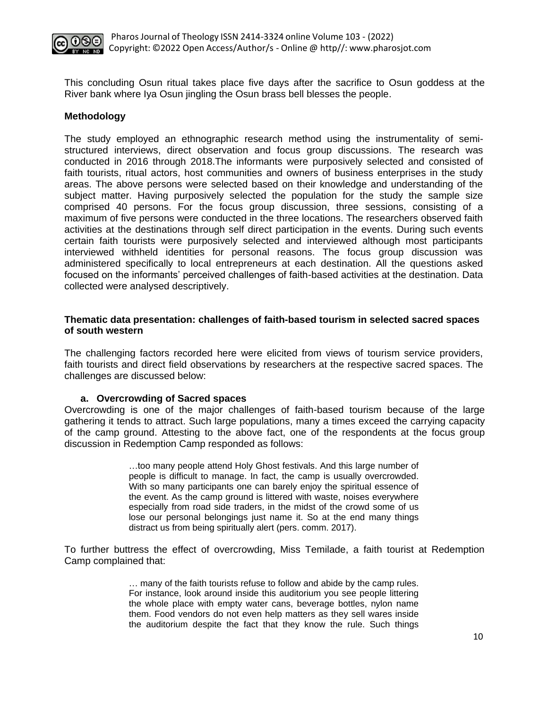

This concluding Osun ritual takes place five days after the sacrifice to Osun goddess at the River bank where Iya Osun jingling the Osun brass bell blesses the people.

#### **Methodology**

The study employed an ethnographic research method using the instrumentality of semistructured interviews, direct observation and focus group discussions. The research was conducted in 2016 through 2018.The informants were purposively selected and consisted of faith tourists, ritual actors, host communities and owners of business enterprises in the study areas. The above persons were selected based on their knowledge and understanding of the subject matter. Having purposively selected the population for the study the sample size comprised 40 persons. For the focus group discussion, three sessions, consisting of a maximum of five persons were conducted in the three locations. The researchers observed faith activities at the destinations through self direct participation in the events. During such events certain faith tourists were purposively selected and interviewed although most participants interviewed withheld identities for personal reasons. The focus group discussion was administered specifically to local entrepreneurs at each destination. All the questions asked focused on the informants' perceived challenges of faith-based activities at the destination. Data collected were analysed descriptively.

#### **Thematic data presentation: challenges of faith-based tourism in selected sacred spaces of south western**

The challenging factors recorded here were elicited from views of tourism service providers, faith tourists and direct field observations by researchers at the respective sacred spaces. The challenges are discussed below:

#### **a. Overcrowding of Sacred spaces**

Overcrowding is one of the major challenges of faith-based tourism because of the large gathering it tends to attract. Such large populations, many a times exceed the carrying capacity of the camp ground. Attesting to the above fact, one of the respondents at the focus group discussion in Redemption Camp responded as follows:

> …too many people attend Holy Ghost festivals. And this large number of people is difficult to manage. In fact, the camp is usually overcrowded. With so many participants one can barely enjoy the spiritual essence of the event. As the camp ground is littered with waste, noises everywhere especially from road side traders, in the midst of the crowd some of us lose our personal belongings just name it. So at the end many things distract us from being spiritually alert (pers. comm. 2017).

To further buttress the effect of overcrowding, Miss Temilade, a faith tourist at Redemption Camp complained that:

> … many of the faith tourists refuse to follow and abide by the camp rules. For instance, look around inside this auditorium you see people littering the whole place with empty water cans, beverage bottles, nylon name them. Food vendors do not even help matters as they sell wares inside the auditorium despite the fact that they know the rule. Such things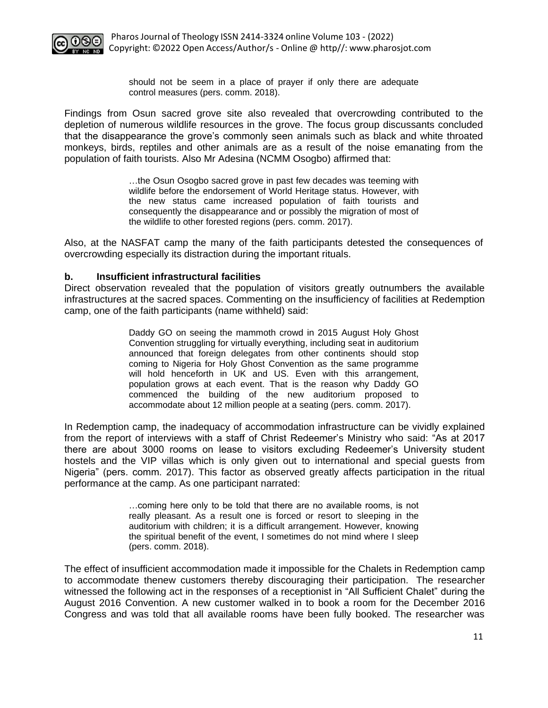

should not be seem in a place of prayer if only there are adequate control measures (pers. comm. 2018).

Findings from Osun sacred grove site also revealed that overcrowding contributed to the depletion of numerous wildlife resources in the grove. The focus group discussants concluded that the disappearance the grove's commonly seen animals such as black and white throated monkeys, birds, reptiles and other animals are as a result of the noise emanating from the population of faith tourists. Also Mr Adesina (NCMM Osogbo) affirmed that:

> …the Osun Osogbo sacred grove in past few decades was teeming with wildlife before the endorsement of World Heritage status. However, with the new status came increased population of faith tourists and consequently the disappearance and or possibly the migration of most of the wildlife to other forested regions (pers. comm. 2017).

Also, at the NASFAT camp the many of the faith participants detested the consequences of overcrowding especially its distraction during the important rituals.

#### **b. Insufficient infrastructural facilities**

Direct observation revealed that the population of visitors greatly outnumbers the available infrastructures at the sacred spaces. Commenting on the insufficiency of facilities at Redemption camp, one of the faith participants (name withheld) said:

> Daddy GO on seeing the mammoth crowd in 2015 August Holy Ghost Convention struggling for virtually everything, including seat in auditorium announced that foreign delegates from other continents should stop coming to Nigeria for Holy Ghost Convention as the same programme will hold henceforth in UK and US. Even with this arrangement, population grows at each event. That is the reason why Daddy GO commenced the building of the new auditorium proposed to accommodate about 12 million people at a seating (pers. comm. 2017).

In Redemption camp, the inadequacy of accommodation infrastructure can be vividly explained from the report of interviews with a staff of Christ Redeemer's Ministry who said: "As at 2017 there are about 3000 rooms on lease to visitors excluding Redeemer's University student hostels and the VIP villas which is only given out to international and special guests from Nigeria" (pers. comm. 2017). This factor as observed greatly affects participation in the ritual performance at the camp. As one participant narrated:

> …coming here only to be told that there are no available rooms, is not really pleasant. As a result one is forced or resort to sleeping in the auditorium with children; it is a difficult arrangement. However, knowing the spiritual benefit of the event, I sometimes do not mind where I sleep (pers. comm. 2018).

The effect of insufficient accommodation made it impossible for the Chalets in Redemption camp to accommodate thenew customers thereby discouraging their participation. The researcher witnessed the following act in the responses of a receptionist in "All Sufficient Chalet" during the August 2016 Convention. A new customer walked in to book a room for the December 2016 Congress and was told that all available rooms have been fully booked. The researcher was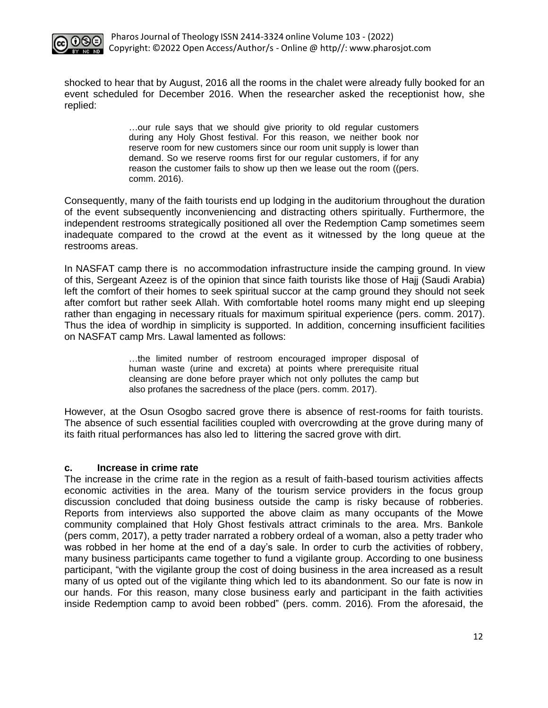

shocked to hear that by August, 2016 all the rooms in the chalet were already fully booked for an event scheduled for December 2016. When the researcher asked the receptionist how, she replied:

> …our rule says that we should give priority to old regular customers during any Holy Ghost festival. For this reason, we neither book nor reserve room for new customers since our room unit supply is lower than demand. So we reserve rooms first for our regular customers, if for any reason the customer fails to show up then we lease out the room ((pers. comm. 2016).

Consequently, many of the faith tourists end up lodging in the auditorium throughout the duration of the event subsequently inconveniencing and distracting others spiritually. Furthermore, the independent restrooms strategically positioned all over the Redemption Camp sometimes seem inadequate compared to the crowd at the event as it witnessed by the long queue at the restrooms areas.

In NASFAT camp there is no accommodation infrastructure inside the camping ground. In view of this, Sergeant Azeez is of the opinion that since faith tourists like those of Hajj (Saudi Arabia) left the comfort of their homes to seek spiritual succor at the camp ground they should not seek after comfort but rather seek Allah. With comfortable hotel rooms many might end up sleeping rather than engaging in necessary rituals for maximum spiritual experience (pers. comm. 2017). Thus the idea of wordhip in simplicity is supported. In addition, concerning insufficient facilities on NASFAT camp Mrs. Lawal lamented as follows:

> …the limited number of restroom encouraged improper disposal of human waste (urine and excreta) at points where prerequisite ritual cleansing are done before prayer which not only pollutes the camp but also profanes the sacredness of the place (pers. comm. 2017).

However, at the Osun Osogbo sacred grove there is absence of rest-rooms for faith tourists. The absence of such essential facilities coupled with overcrowding at the grove during many of its faith ritual performances has also led to littering the sacred grove with dirt.

#### **c. Increase in crime rate**

The increase in the crime rate in the region as a result of faith-based tourism activities affects economic activities in the area. Many of the tourism service providers in the focus group discussion concluded that doing business outside the camp is risky because of robberies. Reports from interviews also supported the above claim as many occupants of the Mowe community complained that Holy Ghost festivals attract criminals to the area. Mrs. Bankole (pers comm, 2017), a petty trader narrated a robbery ordeal of a woman, also a petty trader who was robbed in her home at the end of a day's sale. In order to curb the activities of robbery, many business participants came together to fund a vigilante group. According to one business participant, "with the vigilante group the cost of doing business in the area increased as a result many of us opted out of the vigilante thing which led to its abandonment. So our fate is now in our hands. For this reason, many close business early and participant in the faith activities inside Redemption camp to avoid been robbed" (pers. comm. 2016)*.* From the aforesaid, the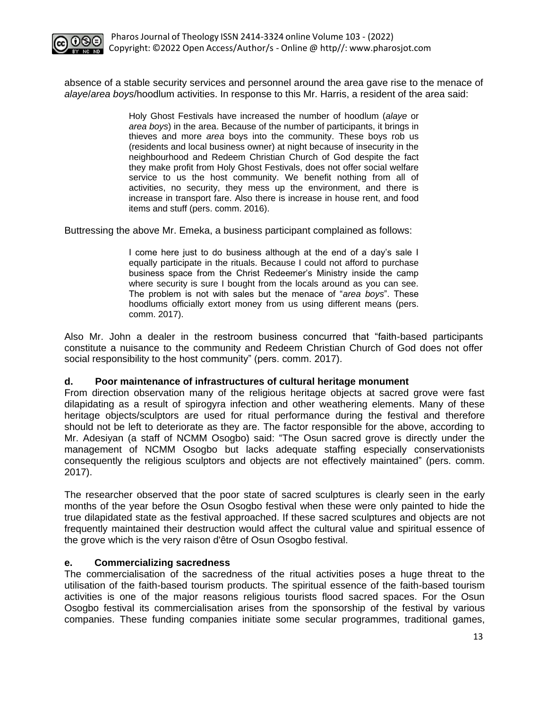

absence of a stable security services and personnel around the area gave rise to the menace of *alaye*/*area boys*/hoodlum activities. In response to this Mr. Harris, a resident of the area said:

> Holy Ghost Festivals have increased the number of hoodlum (*alaye* or *area boys*) in the area. Because of the number of participants, it brings in thieves and more *area* boys into the community. These boys rob us (residents and local business owner) at night because of insecurity in the neighbourhood and Redeem Christian Church of God despite the fact they make profit from Holy Ghost Festivals, does not offer social welfare service to us the host community. We benefit nothing from all of activities, no security, they mess up the environment, and there is increase in transport fare. Also there is increase in house rent, and food items and stuff (pers. comm. 2016).

Buttressing the above Mr. Emeka, a business participant complained as follows:

I come here just to do business although at the end of a day's sale I equally participate in the rituals. Because I could not afford to purchase business space from the Christ Redeemer's Ministry inside the camp where security is sure I bought from the locals around as you can see. The problem is not with sales but the menace of "*area boys*". These hoodlums officially extort money from us using different means (pers. comm. 2017).

Also Mr. John a dealer in the restroom business concurred that "faith-based participants constitute a nuisance to the community and Redeem Christian Church of God does not offer social responsibility to the host community" (pers. comm. 2017).

# **d. Poor maintenance of infrastructures of cultural heritage monument**

From direction observation many of the religious heritage objects at sacred grove were fast dilapidating as a result of spirogyra infection and other weathering elements. Many of these heritage objects/sculptors are used for ritual performance during the festival and therefore should not be left to deteriorate as they are. The factor responsible for the above, according to Mr. Adesiyan (a staff of NCMM Osogbo) said: "The Osun sacred grove is directly under the management of NCMM Osogbo but lacks adequate staffing especially conservationists consequently the religious sculptors and objects are not effectively maintained" (pers. comm. 2017).

The researcher observed that the poor state of sacred sculptures is clearly seen in the early months of the year before the Osun Osogbo festival when these were only painted to hide the true dilapidated state as the festival approached. If these sacred sculptures and objects are not frequently maintained their destruction would affect the cultural value and spiritual essence of the grove which is the very raison d'être of Osun Osogbo festival.

#### **e. Commercializing sacredness**

The commercialisation of the sacredness of the ritual activities poses a huge threat to the utilisation of the faith-based tourism products. The spiritual essence of the faith-based tourism activities is one of the major reasons religious tourists flood sacred spaces. For the Osun Osogbo festival its commercialisation arises from the sponsorship of the festival by various companies. These funding companies initiate some secular programmes, traditional games,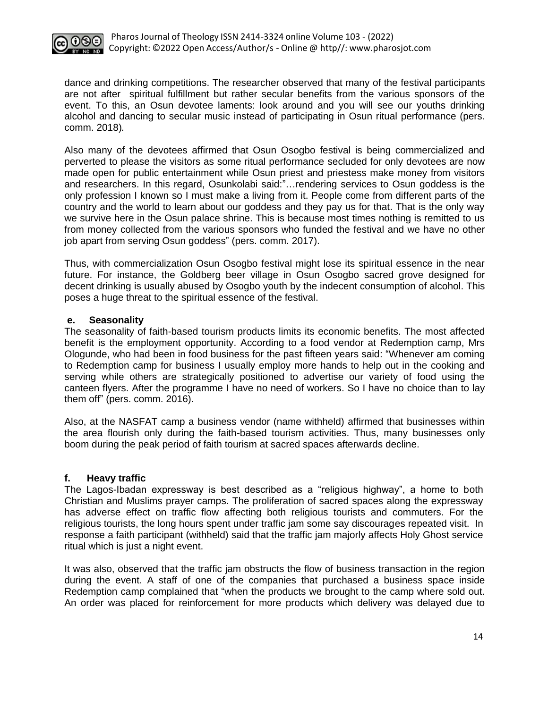

dance and drinking competitions. The researcher observed that many of the festival participants are not after spiritual fulfillment but rather secular benefits from the various sponsors of the event. To this, an Osun devotee laments: look around and you will see our youths drinking alcohol and dancing to secular music instead of participating in Osun ritual performance (pers. comm. 2018)*.*

Also many of the devotees affirmed that Osun Osogbo festival is being commercialized and perverted to please the visitors as some ritual performance secluded for only devotees are now made open for public entertainment while Osun priest and priestess make money from visitors and researchers. In this regard, Osunkolabi said:"…rendering services to Osun goddess is the only profession I known so I must make a living from it. People come from different parts of the country and the world to learn about our goddess and they pay us for that. That is the only way we survive here in the Osun palace shrine. This is because most times nothing is remitted to us from money collected from the various sponsors who funded the festival and we have no other job apart from serving Osun goddess" (pers. comm. 2017).

Thus, with commercialization Osun Osogbo festival might lose its spiritual essence in the near future. For instance, the Goldberg beer village in Osun Osogbo sacred grove designed for decent drinking is usually abused by Osogbo youth by the indecent consumption of alcohol. This poses a huge threat to the spiritual essence of the festival.

## **e. Seasonality**

The seasonality of faith-based tourism products limits its economic benefits. The most affected benefit is the employment opportunity. According to a food vendor at Redemption camp, Mrs Ologunde, who had been in food business for the past fifteen years said: "Whenever am coming to Redemption camp for business I usually employ more hands to help out in the cooking and serving while others are strategically positioned to advertise our variety of food using the canteen flyers. After the programme I have no need of workers. So I have no choice than to lay them off" (pers. comm. 2016).

Also, at the NASFAT camp a business vendor (name withheld) affirmed that businesses within the area flourish only during the faith-based tourism activities. Thus, many businesses only boom during the peak period of faith tourism at sacred spaces afterwards decline.

# **f. Heavy traffic**

The Lagos-Ibadan expressway is best described as a "religious highway", a home to both Christian and Muslims prayer camps. The proliferation of sacred spaces along the expressway has adverse effect on traffic flow affecting both religious tourists and commuters. For the religious tourists, the long hours spent under traffic jam some say discourages repeated visit. In response a faith participant (withheld) said that the traffic jam majorly affects Holy Ghost service ritual which is just a night event.

It was also, observed that the traffic jam obstructs the flow of business transaction in the region during the event. A staff of one of the companies that purchased a business space inside Redemption camp complained that "when the products we brought to the camp where sold out. An order was placed for reinforcement for more products which delivery was delayed due to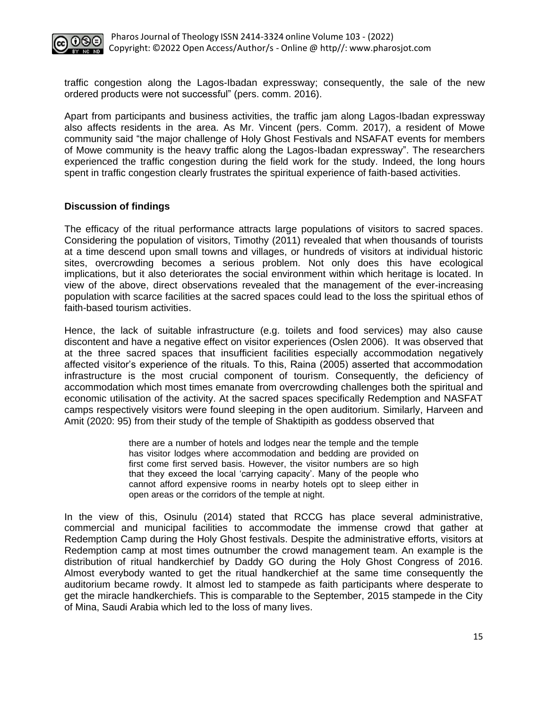

traffic congestion along the Lagos-Ibadan expressway; consequently, the sale of the new ordered products were not successful" (pers. comm. 2016).

Apart from participants and business activities, the traffic jam along Lagos-Ibadan expressway also affects residents in the area. As Mr. Vincent (pers. Comm. 2017), a resident of Mowe community said "the major challenge of Holy Ghost Festivals and NSAFAT events for members of Mowe community is the heavy traffic along the Lagos-Ibadan expressway". The researchers experienced the traffic congestion during the field work for the study. Indeed, the long hours spent in traffic congestion clearly frustrates the spiritual experience of faith-based activities.

## **Discussion of findings**

The efficacy of the ritual performance attracts large populations of visitors to sacred spaces. Considering the population of visitors, Timothy (2011) revealed that when thousands of tourists at a time descend upon small towns and villages, or hundreds of visitors at individual historic sites, overcrowding becomes a serious problem. Not only does this have ecological implications, but it also deteriorates the social environment within which heritage is located. In view of the above, direct observations revealed that the management of the ever-increasing population with scarce facilities at the sacred spaces could lead to the loss the spiritual ethos of faith-based tourism activities.

Hence, the lack of suitable infrastructure (e.g. toilets and food services) may also cause discontent and have a negative effect on visitor experiences (Oslen 2006). It was observed that at the three sacred spaces that insufficient facilities especially accommodation negatively affected visitor's experience of the rituals. To this, Raina (2005) asserted that accommodation infrastructure is the most crucial component of tourism. Consequently, the deficiency of accommodation which most times emanate from overcrowding challenges both the spiritual and economic utilisation of the activity. At the sacred spaces specifically Redemption and NASFAT camps respectively visitors were found sleeping in the open auditorium. Similarly, Harveen and Amit (2020: 95) from their study of the temple of Shaktipith as goddess observed that

> there are a number of hotels and lodges near the temple and the temple has visitor lodges where accommodation and bedding are provided on first come first served basis. However, the visitor numbers are so high that they exceed the local 'carrying capacity'. Many of the people who cannot afford expensive rooms in nearby hotels opt to sleep either in open areas or the corridors of the temple at night.

In the view of this, Osinulu (2014) stated that RCCG has place several administrative, commercial and municipal facilities to accommodate the immense crowd that gather at Redemption Camp during the Holy Ghost festivals. Despite the administrative efforts, visitors at Redemption camp at most times outnumber the crowd management team. An example is the distribution of ritual handkerchief by Daddy GO during the Holy Ghost Congress of 2016. Almost everybody wanted to get the ritual handkerchief at the same time consequently the auditorium became rowdy. It almost led to stampede as faith participants where desperate to get the miracle handkerchiefs. This is comparable to the September, 2015 stampede in the City of Mina, Saudi Arabia which led to the loss of many lives.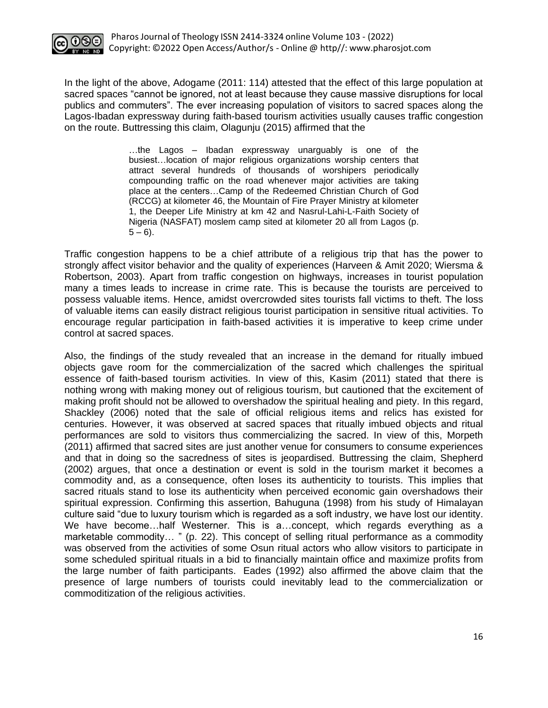

In the light of the above, Adogame (2011: 114) attested that the effect of this large population at sacred spaces "cannot be ignored, not at least because they cause massive disruptions for local publics and commuters". The ever increasing population of visitors to sacred spaces along the Lagos-Ibadan expressway during faith-based tourism activities usually causes traffic congestion on the route. Buttressing this claim, Olagunju (2015) affirmed that the

> …the Lagos – Ibadan expressway unarguably is one of the busiest…location of major religious organizations worship centers that attract several hundreds of thousands of worshipers periodically compounding traffic on the road whenever major activities are taking place at the centers…Camp of the Redeemed Christian Church of God (RCCG) at kilometer 46, the Mountain of Fire Prayer Ministry at kilometer 1, the Deeper Life Ministry at km 42 and Nasrul-Lahi-L-Faith Society of Nigeria (NASFAT) moslem camp sited at kilometer 20 all from Lagos (p.  $5 - 6$ ).

Traffic congestion happens to be a chief attribute of a religious trip that has the power to strongly affect visitor behavior and the quality of experiences (Harveen & Amit 2020; Wiersma & Robertson, 2003). Apart from traffic congestion on highways, increases in tourist population many a times leads to increase in crime rate. This is because the tourists are perceived to possess valuable items. Hence, amidst overcrowded sites tourists fall victims to theft. The loss of valuable items can easily distract religious tourist participation in sensitive ritual activities. To encourage regular participation in faith-based activities it is imperative to keep crime under control at sacred spaces.

Also, the findings of the study revealed that an increase in the demand for ritually imbued objects gave room for the commercialization of the sacred which challenges the spiritual essence of faith-based tourism activities. In view of this, Kasim (2011) stated that there is nothing wrong with making money out of religious tourism, but cautioned that the excitement of making profit should not be allowed to overshadow the spiritual healing and piety. In this regard, Shackley (2006) noted that the sale of official religious items and relics has existed for centuries. However, it was observed at sacred spaces that ritually imbued objects and ritual performances are sold to visitors thus commercializing the sacred. In view of this, Morpeth (2011) affirmed that sacred sites are just another venue for consumers to consume experiences and that in doing so the sacredness of sites is jeopardised. Buttressing the claim, Shepherd (2002) argues, that once a destination or event is sold in the tourism market it becomes a commodity and, as a consequence, often loses its authenticity to tourists. This implies that sacred rituals stand to lose its authenticity when perceived economic gain overshadows their spiritual expression. Confirming this assertion, Bahuguna (1998) from his study of Himalayan culture said "due to luxury tourism which is regarded as a soft industry, we have lost our identity. We have become…half Westerner. This is a…concept, which regards everything as a marketable commodity… " (p. 22). This concept of selling ritual performance as a commodity was observed from the activities of some Osun ritual actors who allow visitors to participate in some scheduled spiritual rituals in a bid to financially maintain office and maximize profits from the large number of faith participants. Eades (1992) also affirmed the above claim that the presence of large numbers of tourists could inevitably lead to the commercialization or commoditization of the religious activities.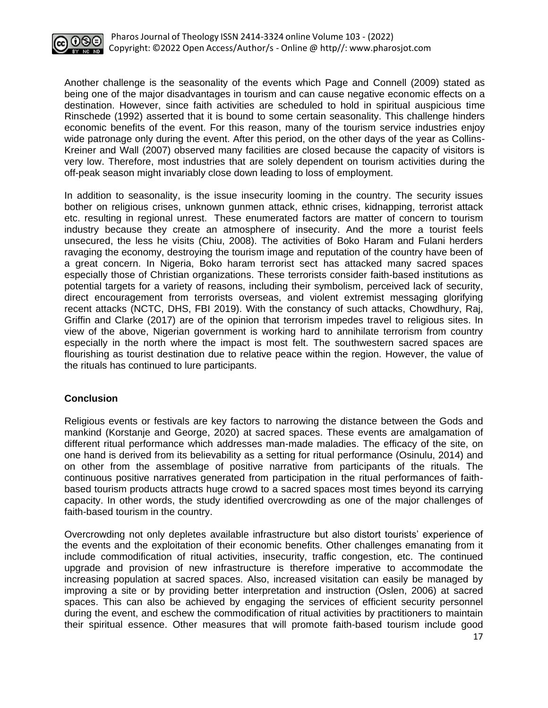

Another challenge is the seasonality of the events which Page and Connell (2009) stated as being one of the major disadvantages in tourism and can cause negative economic effects on a destination. However, since faith activities are scheduled to hold in spiritual auspicious time Rinschede (1992) asserted that it is bound to some certain seasonality. This challenge hinders economic benefits of the event. For this reason, many of the tourism service industries enjoy wide patronage only during the event. After this period, on the other days of the year as Collins-Kreiner and Wall (2007) observed many facilities are closed because the capacity of visitors is very low. Therefore, most industries that are solely dependent on tourism activities during the off-peak season might invariably close down leading to loss of employment.

In addition to seasonality, is the issue insecurity looming in the country. The security issues bother on religious crises, unknown gunmen attack, ethnic crises, kidnapping, terrorist attack etc. resulting in regional unrest. These enumerated factors are matter of concern to tourism industry because they create an atmosphere of insecurity. And the more a tourist feels unsecured, the less he visits (Chiu, 2008). The activities of Boko Haram and Fulani herders ravaging the economy, destroying the tourism image and reputation of the country have been of a great concern. In Nigeria, Boko haram terrorist sect has attacked many sacred spaces especially those of Christian organizations. These terrorists consider faith-based institutions as potential targets for a variety of reasons, including their symbolism, perceived lack of security, direct encouragement from terrorists overseas, and violent extremist messaging glorifying recent attacks (NCTC, DHS, FBI 2019). With the constancy of such attacks, Chowdhury, Raj, Griffin and Clarke (2017) are of the opinion that terrorism impedes travel to religious sites. In view of the above, Nigerian government is working hard to annihilate terrorism from country especially in the north where the impact is most felt. The southwestern sacred spaces are flourishing as tourist destination due to relative peace within the region. However, the value of the rituals has continued to lure participants.

# **Conclusion**

Religious events or festivals are key factors to narrowing the distance between the Gods and mankind (Korstanje and George, 2020) at sacred spaces. These events are amalgamation of different ritual performance which addresses man-made maladies. The efficacy of the site, on one hand is derived from its believability as a setting for ritual performance (Osinulu, 2014) and on other from the assemblage of positive narrative from participants of the rituals. The continuous positive narratives generated from participation in the ritual performances of faithbased tourism products attracts huge crowd to a sacred spaces most times beyond its carrying capacity. In other words, the study identified overcrowding as one of the major challenges of faith-based tourism in the country.

Overcrowding not only depletes available infrastructure but also distort tourists' experience of the events and the exploitation of their economic benefits. Other challenges emanating from it include commodification of ritual activities, insecurity, traffic congestion, etc. The continued upgrade and provision of new infrastructure is therefore imperative to accommodate the increasing population at sacred spaces. Also, increased visitation can easily be managed by improving a site or by providing better interpretation and instruction (Oslen, 2006) at sacred spaces. This can also be achieved by engaging the services of efficient security personnel during the event, and eschew the commodification of ritual activities by practitioners to maintain their spiritual essence. Other measures that will promote faith-based tourism include good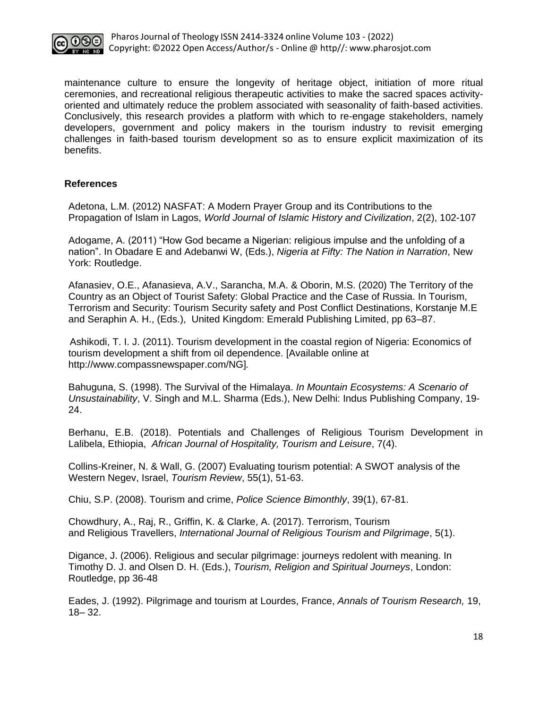

maintenance culture to ensure the longevity of heritage object, initiation of more ritual ceremonies, and recreational religious therapeutic activities to make the sacred spaces activityoriented and ultimately reduce the problem associated with seasonality of faith-based activities. Conclusively, this research provides a platform with which to re-engage stakeholders, namely developers, government and policy makers in the tourism industry to revisit emerging challenges in faith-based tourism development so as to ensure explicit maximization of its benefits.

## **References**

Adetona, L.M. (2012) NASFAT: A Modern Prayer Group and its Contributions to the Propagation of Islam in Lagos, *World Journal of Islamic History and Civilization*, 2(2), 102-107

Adogame, A. (2011) "How God became a Nigerian: religious impulse and the unfolding of a nation". In Obadare E and Adebanwi W, (Eds.), *Nigeria at Fifty: The Nation in Narration*, New York: Routledge.

Afanasiev, O.E., Afanasieva, A.V., Sarancha, M.A. & Oborin, M.S. (2020) The Territory of the Country as an Object of Tourist Safety: Global Practice and the Case of Russia. In Tourism, Terrorism and Security: Tourism Security safety and Post Conflict Destinations, Korstanje M.E and Seraphin A. H., (Eds.), United Kingdom: Emerald Publishing Limited, pp 63–87.

 Ashikodi, T. I. J. (2011). Tourism development in the coastal region of Nigeria: Economics of tourism development a shift from oil dependence. [Available online at [http://www.compassnewspaper.com/NG\]](http://www.compassnewspaper.com/NG%5d.)*.* 

Bahuguna, S. (1998). The Survival of the Himalaya. *In Mountain Ecosystems: A Scenario of Unsustainability*, V. Singh and M.L. Sharma (Eds.), New Delhi: Indus Publishing Company, 19- 24.

Berhanu, E.B. (2018). Potentials and Challenges of Religious Tourism Development in Lalibela, Ethiopia, *African Journal of Hospitality, Tourism and Leisure*, 7(4).

Collins-Kreiner, N. & Wall, G. (2007) Evaluating tourism potential: A SWOT analysis of the Western Negev, Israel, *Tourism Review*, 55(1), 51-63.

Chiu, S.P. (2008). Tourism and crime, *Police Science Bimonthly*, 39(1), 67-81.

Chowdhury, A., Raj, R., Griffin, K. & Clarke, A. (2017). Terrorism, Tourism and Religious Travellers, *International Journal of Religious Tourism and Pilgrimage*, 5(1).

Digance, J. (2006). Religious and secular pilgrimage: journeys redolent with meaning. In Timothy D. J. and Olsen D. H. (Eds.), *Tourism, Religion and Spiritual Journeys*, London: Routledge, pp 36-48

Eades, J. (1992). Pilgrimage and tourism at Lourdes, France, *Annals of Tourism Research,* 19, 18– 32.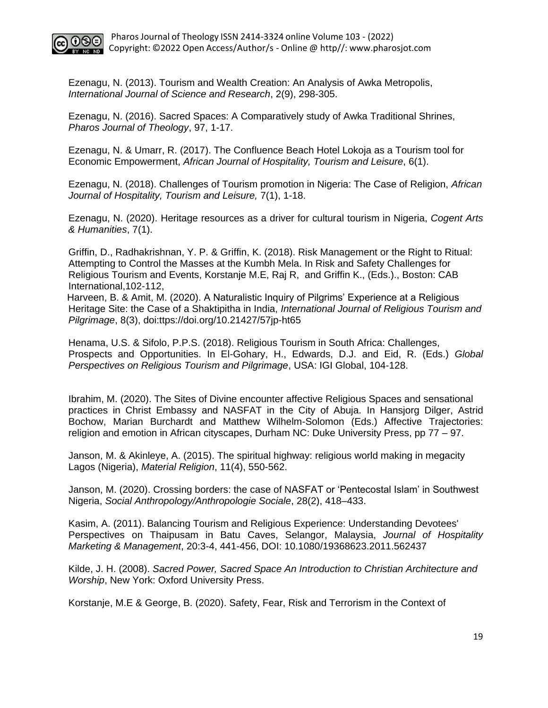

Ezenagu, N. (2013). Tourism and Wealth Creation: An Analysis of Awka Metropolis, *International Journal of Science and Research*, 2(9), 298-305.

Ezenagu, N. (2016). Sacred Spaces: A Comparatively study of Awka Traditional Shrines, *Pharos Journal of Theology*, 97, 1-17.

Ezenagu, N. & Umarr, R. (2017). The Confluence Beach Hotel Lokoja as a Tourism tool for Economic Empowerment, *African Journal of Hospitality, Tourism and Leisure*, 6(1).

Ezenagu, N. (2018). Challenges of Tourism promotion in Nigeria: The Case of Religion, *African Journal of Hospitality, Tourism and Leisure,* 7(1), 1-18.

Ezenagu, N. (2020). Heritage resources as a driver for cultural tourism in Nigeria, *Cogent Arts & Humanities*, 7(1).

Griffin, D., Radhakrishnan, Y. P. & Griffin, K. (2018). Risk Management or the Right to Ritual: Attempting to Control the Masses at the Kumbh Mela. In Risk and Safety Challenges for Religious Tourism and Events, Korstanje M.E, Raj R, and Griffin K., (Eds.)., Boston: CAB International,102-112,

Harveen, B. & Amit, M. (2020). A Naturalistic Inquiry of Pilgrims' Experience at a Religious Heritage Site: the Case of a Shaktipitha in India, *International Journal of Religious Tourism and Pilgrimage*, 8(3), doi:ttps://doi.org/10.21427/57jp-ht65

Henama, U.S. & Sifolo, P.P.S. (2018). Religious Tourism in South Africa: Challenges, Prospects and Opportunities. In El-Gohary, H., Edwards, D.J. and Eid, R. (Eds.) *Global Perspectives on Religious Tourism and Pilgrimage*, USA: IGI Global, 104-128.

Ibrahim, M. (2020). The Sites of Divine encounter affective Religious Spaces and sensational practices in Christ Embassy and NASFAT in the City of Abuja. In Hansjorg Dilger, Astrid Bochow, Marian Burchardt and Matthew Wilhelm-Solomon (Eds.) Affective Trajectories: religion and emotion in African cityscapes, Durham NC: Duke University Press, pp 77 – 97.

Janson, M. & Akinleye, A. (2015). The spiritual highway: religious world making in megacity Lagos (Nigeria), *Material Religion*, 11(4), 550-562.

Janson, M. (2020). Crossing borders: the case of NASFAT or 'Pentecostal Islam' in Southwest Nigeria, *Social Anthropology/Anthropologie Sociale*, 28(2), 418–433.

Kasim, A. (2011). Balancing Tourism and Religious Experience: Understanding Devotees' Perspectives on Thaipusam in Batu Caves, Selangor, Malaysia, *Journal of Hospitality Marketing & Management*, 20:3-4, 441-456, DOI: 10.1080/19368623.2011.562437

Kilde, J. H. (2008). *Sacred Power, Sacred Space An Introduction to Christian Architecture and Worship*, New York: Oxford University Press.

Korstanje, M.E & George, B. (2020). Safety, Fear, Risk and Terrorism in the Context of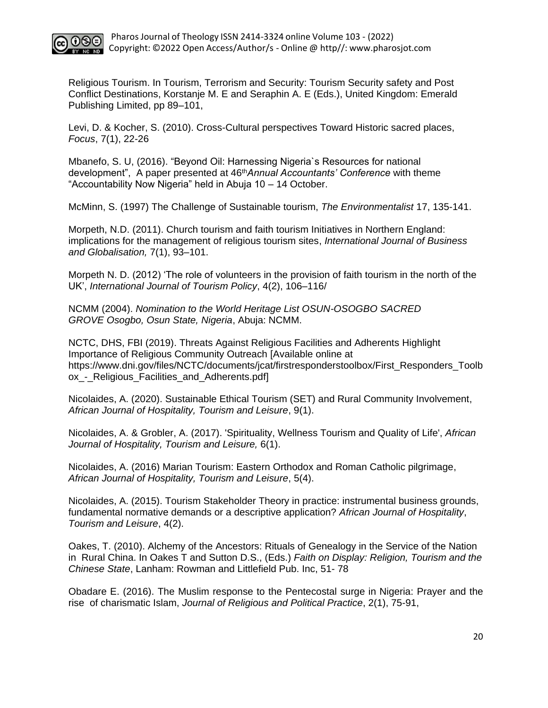

Religious Tourism. In Tourism, Terrorism and Security: Tourism Security safety and Post Conflict Destinations, Korstanje M. E and Seraphin A. E (Eds.), United Kingdom: Emerald Publishing Limited, pp 89–101,

Levi, D. & Kocher, S. (2010). Cross-Cultural perspectives Toward Historic sacred places, *Focus*, 7(1), 22-26

Mbanefo, S. U, (2016). "Beyond Oil: Harnessing Nigeria`s Resources for national development", A paper presented at 46th*Annual Accountants' Conference* with theme "Accountability Now Nigeria" held in Abuja 10 – 14 October.

McMinn, S. (1997) The Challenge of Sustainable tourism, *The Environmentalist* 17, 135-141.

Morpeth, N.D. (2011). Church tourism and faith tourism Initiatives in Northern England: implications for the management of religious tourism sites, *International Journal of Business and Globalisation,* 7(1), 93–101.

Morpeth N. D. (2012) 'The role of volunteers in the provision of faith tourism in the north of the UK', *International Journal of Tourism Policy*, 4(2), 106–116/

NCMM (2004). *Nomination to the World Heritage List OSUN-OSOGBO SACRED GROVE Osogbo, Osun State, Nigeria*, Abuja: NCMM.

NCTC, DHS, FBI (2019). Threats Against Religious Facilities and Adherents Highlight Importance of Religious Community Outreach [Available online at [https://www.dni.gov/files/NCTC/documents/jcat/firstresponderstoolbox/First\\_Responders\\_Toolb](https://www.dni.gov/files/NCTC/documents/jcat/firstresponderstoolbox/First_Responders_Toolbox_-_Religious_Facilities_and_Adherents.pdf) ox - Religious Facilities and Adherents.pdf]

Nicolaides, A. (2020). Sustainable Ethical Tourism (SET) and Rural Community Involvement, *African Journal of Hospitality, Tourism and Leisure*, 9(1).

Nicolaides, A. & Grobler, A. (2017). 'Spirituality, Wellness Tourism and Quality of Life', *African Journal of Hospitality, Tourism and Leisure,* 6(1).

Nicolaides, A. (2016) Marian Tourism: Eastern Orthodox and Roman Catholic pilgrimage, *African Journal of Hospitality, Tourism and Leisure*, 5(4).

Nicolaides, A. (2015). Tourism Stakeholder Theory in practice: instrumental business grounds, fundamental normative demands or a descriptive application? *African Journal of Hospitality*, *Tourism and Leisure*, 4(2).

Oakes, T. (2010). Alchemy of the Ancestors: Rituals of Genealogy in the Service of the Nation in Rural China. In Oakes T and Sutton D.S., (Eds.) *Faith on Display: Religion, Tourism and the Chinese State*, Lanham: Rowman and Littlefield Pub. Inc, 51- 78

Obadare E. (2016). The Muslim response to the Pentecostal surge in Nigeria: Prayer and the rise of charismatic Islam, *Journal of Religious and Political Practice*, 2(1), 75-91,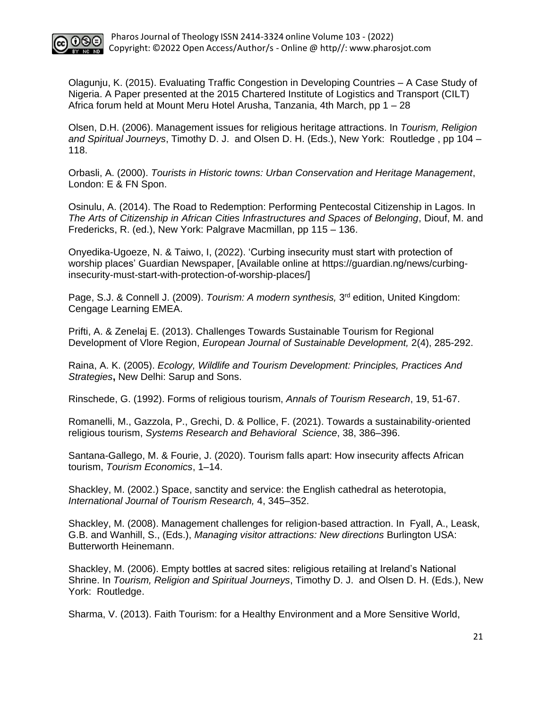

Olagunju, K. (2015). Evaluating Traffic Congestion in Developing Countries – A Case Study of Nigeria. A Paper presented at the 2015 Chartered Institute of Logistics and Transport (CILT) Africa forum held at Mount Meru Hotel Arusha, Tanzania, 4th March, pp 1 – 28

Olsen, D.H. (2006). Management issues for religious heritage attractions. In *Tourism, Religion and Spiritual Journeys*, Timothy D. J. and Olsen D. H. (Eds.), New York: Routledge , pp 104 – 118.

Orbasli, A. (2000). *Tourists in Historic towns: Urban Conservation and Heritage Management*, London: E & FN Spon.

Osinulu, A. (2014). The Road to Redemption: Performing Pentecostal Citizenship in Lagos. In *The Arts of Citizenship in African Cities Infrastructures and Spaces of Belonging*, Diouf, M. and Fredericks, R. (ed.), New York: Palgrave Macmillan, pp 115 – 136.

Onyedika-Ugoeze, N. & Taiwo, I, (2022). 'Curbing insecurity must start with protection of worship places' Guardian Newspaper, [Available online at [https://guardian.ng/news/curbing](https://guardian.ng/news/curbing-insecurity-must-start-with-protection-of-worship-places/)[insecurity-must-start-with-protection-of-worship-places/\]](https://guardian.ng/news/curbing-insecurity-must-start-with-protection-of-worship-places/)

Page, S.J. & Connell J. (2009). *Tourism: A modern synthesis,* 3<sup>rd</sup> edition, United Kingdom: Cengage Learning EMEA.

Prifti, A. & Zenelaj E. (2013). Challenges Towards Sustainable Tourism for Regional Development of Vlore Region, *European Journal of Sustainable Development,* 2(4), 285-292.

Raina, A. K. (2005). *Ecology, Wildlife and Tourism Development: Principles, Practices And Strategies***,** New Delhi: Sarup and Sons.

Rinschede, G. (1992). Forms of religious tourism, *Annals of Tourism Research*, 19, 51-67.

Romanelli, M., Gazzola, P., Grechi, D. & Pollice, F. (2021). Towards a sustainability-oriented religious tourism, *Systems Research and Behavioral Science*, 38, 386–396.

Santana-Gallego, M. & Fourie, J. (2020). Tourism falls apart: How insecurity affects African tourism, *Tourism Economics*, 1–14.

Shackley, M. (2002.) Space, sanctity and service: the English cathedral as heterotopia, *International Journal of Tourism Research,* 4, 345–352.

Shackley, M. (2008). Management challenges for religion-based attraction. In Fyall, A., Leask, G.B. and Wanhill, S., (Eds.), *Managing visitor attractions: New directions* Burlington USA: Butterworth Heinemann.

Shackley, M. (2006). Empty bottles at sacred sites: religious retailing at Ireland's National Shrine. In *Tourism, Religion and Spiritual Journeys*, Timothy D. J. and Olsen D. H. (Eds.), New York: Routledge.

Sharma, V. (2013). Faith Tourism: for a Healthy Environment and a More Sensitive World,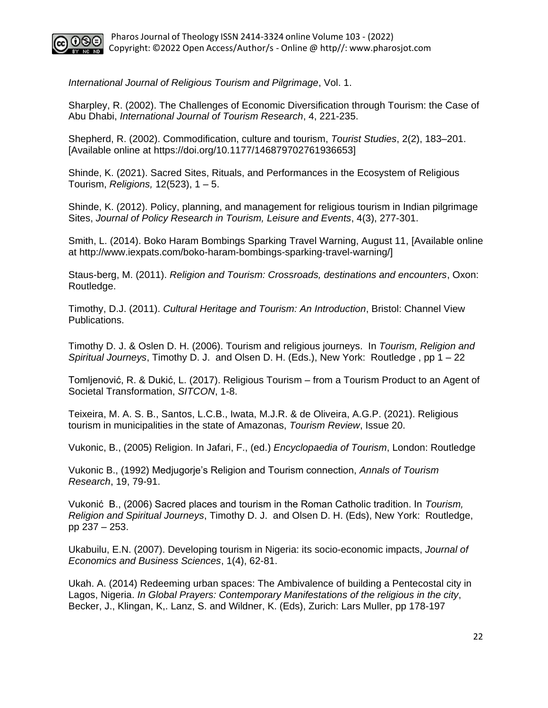

*International Journal of Religious Tourism and Pilgrimage*, Vol. 1.

Sharpley, R. (2002). The Challenges of Economic Diversification through Tourism: the Case of Abu Dhabi, *International Journal of Tourism Research*, 4, 221-235.

Shepherd, R. (2002). Commodification, culture and tourism, *Tourist Studies*, 2(2), 183–201. [Available online at https://doi.org/10.1177/146879702761936653]

Shinde, K. (2021). Sacred Sites, Rituals, and Performances in the Ecosystem of Religious Tourism, *Religions,* 12(523), 1 – 5.

Shinde, K. (2012). Policy, planning, and management for religious tourism in Indian pilgrimage Sites, *Journal of Policy Research in Tourism, Leisure and Events*, 4(3), 277-301.

[Smith,](http://www.iexpats.com/author/lisa-smith/) L. (2014). Boko Haram Bombings Sparking Travel Warning, August 11, [Available online at [http://www.iexpats.com/boko-haram-bombings-sparking-travel-warning/\]](http://www.iexpats.com/boko-haram-bombings-sparking-travel-warning/)

Staus-berg, M. (2011). *Religion and Tourism: Crossroads, destinations and encounters*, Oxon: Routledge.

Timothy, D.J. (2011). *Cultural Heritage and Tourism: An Introduction*, Bristol: Channel View Publications.

Timothy D. J. & Oslen D. H. (2006). Tourism and religious journeys. In *Tourism, Religion and Spiritual Journeys*, Timothy D. J. and Olsen D. H. (Eds.), New York: Routledge , pp 1 – 22

Tomljenović, R. & Dukić, L. (2017). Religious Tourism – from a Tourism Product to an Agent of Societal Transformation, *SITCON*, 1-8.

Teixeira, M. A. S. B., Santos, L.C.B., Iwata, M.J.R. & de Oliveira, A.G.P. (2021). Religious tourism in municipalities in the state of Amazonas, *Tourism Review*, Issue 20.

Vukonic, B., (2005) Religion. In Jafari, F., (ed.) *Encyclopaedia of Tourism*, London: Routledge

Vukonic B., (1992) Medjugorje's Religion and Tourism connection, *Annals of Tourism Research*, 19, 79-91.

Vukonić B., (2006) Sacred places and tourism in the Roman Catholic tradition. In *Tourism, Religion and Spiritual Journeys*, Timothy D. J. and Olsen D. H. (Eds), New York: Routledge, pp 237 – 253.

Ukabuilu, E.N. (2007). Developing tourism in Nigeria: its socio-economic impacts, *Journal of Economics and Business Sciences*, 1(4), 62-81.

Ukah. A. (2014) Redeeming urban spaces: The Ambivalence of building a Pentecostal city in Lagos, Nigeria. *In Global Prayers: Contemporary Manifestations of the religious in the city*, Becker, J., Klingan, K,. Lanz, S. and Wildner, K. (Eds), Zurich: Lars Muller, pp 178-197